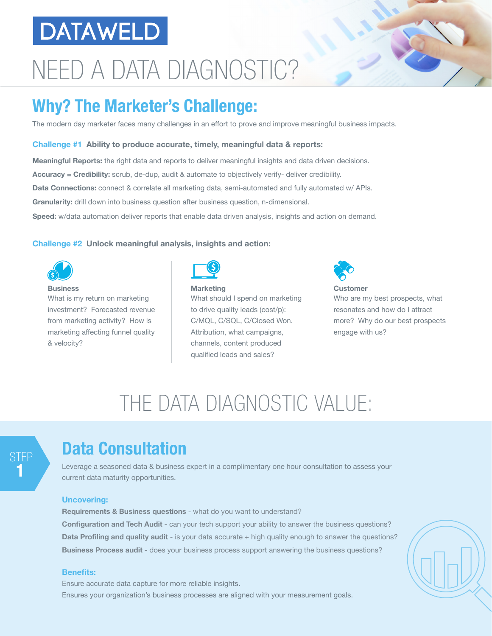## **DATAWELD**

# NEED A DATA DIAGNOSTIC?

## **Why? The Marketer's Challenge:**

The modern day marketer faces many challenges in an effort to prove and improve meaningful business impacts.

#### **Challenge #1 Ability to produce accurate, timely, meaningful data & reports:**

**Meaningful Reports:** the right data and reports to deliver meaningful insights and data driven decisions. **Accuracy = Credibility:** scrub, de-dup, audit & automate to objectively verify- deliver credibility. **Data Connections:** connect & correlate all marketing data, semi-automated and fully automated w/ APIs. **Granularity:** drill down into business question after business question, n-dimensional. **Speed:** w/data automation deliver reports that enable data driven analysis, insights and action on demand.

#### **Challenge #2 Unlock meaningful analysis, insights and action:**



**Business** What is my return on marketing investment? Forecasted revenue from marketing activity? How is marketing affecting funnel quality & velocity?



**Marketing** What should I spend on marketing to drive quality leads (cost/p): C/MQL, C/SQL, C/Closed Won. Attribution, what campaigns, channels, content produced qualified leads and sales?



**Customer** Who are my best prospects, what resonates and how do I attract more? Why do our best prospects engage with us?

## THE DATA DIAGNOSTIC VALUE:

### STEP **1**

### **Data Consultation**

Leverage a seasoned data & business expert in a complimentary one hour consultation to assess your current data maturity opportunities.

#### **Uncovering:**

**Requirements & Business questions** - what do you want to understand? **Configuration and Tech Audit** - can your tech support your ability to answer the business questions? **Data Profiling and quality audit** - is your data accurate + high quality enough to answer the questions? **Business Process audit** - does your business process support answering the business questions?

#### **Benefits:**

Ensure accurate data capture for more reliable insights. Ensures your organization's business processes are aligned with your measurement goals.



 $\overline{1}$